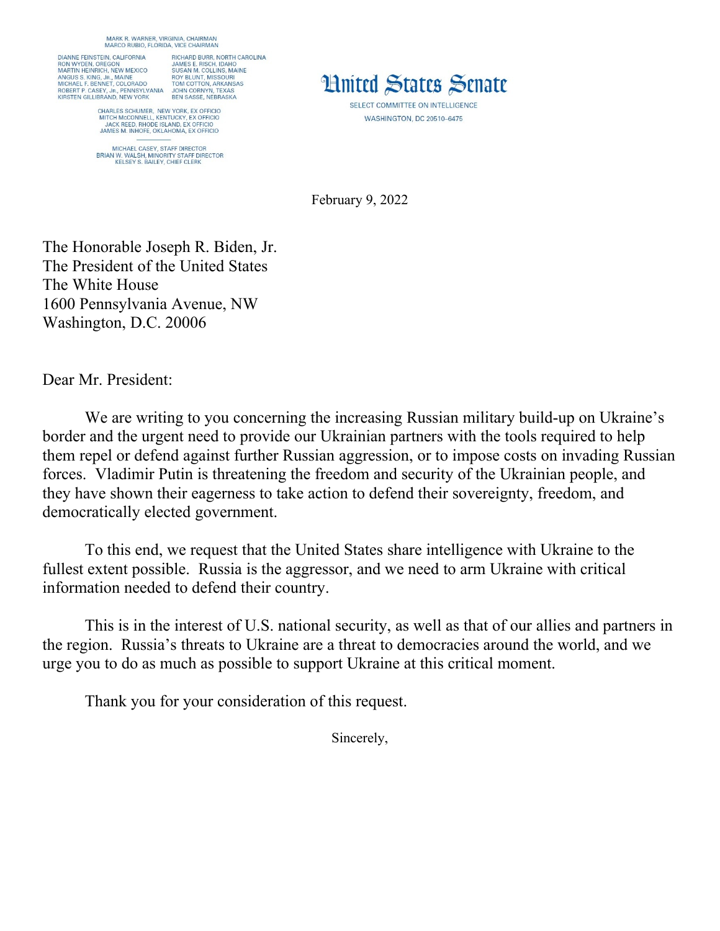MARK R. WARNER, VIRGINIA, CHAIRMAN<br>MARCO RUBIO, FLORIDA, VICE CHAIRMAN

DIANNE FEINSTEIN, CALIFORNIA RICHARD BURR, NORTH CAROLINA DIANNE FEINSTEIN, CALFORNIA MANE E. RISCH, IDAHO RON MYDEN, OREGON JAMES E. RISCH, IDAHO NON MYDEN, OREGON MA<br>AMES E. RISCH, IDAHO NORTEN ANGELIS, INC.<br>ANGUS S. KING, JR., MAINE ROY BLUNT, MISSOURI<br>MICHAEL F. BENNET, COLOR

CHARLES SCHUMER, NEW YORK, EX OFFICIO<br>MITCH MCCONNELL, KENTUCKY, EX OFFICIO<br>JACK REED, RHODE ISLAND, EX OFFICIO<br>JAMES M. INHOFE, OKLAHOMA, EX OFFICIO

MICHAEL CASEY, STAFF DIRECTOR<br>BRIAN W. WALSH, MINORITY STAFF DIRECTOR<br>KELSEY S. BAILEY, CHIEF CLERK



SELECT COMMITTEE ON INTELLIGENCE **WASHINGTON, DC 20510-6475** 

February 9, 2022

The Honorable Joseph R. Biden, Jr. The President of the United States The White House 1600 Pennsylvania Avenue, NW Washington, D.C. 20006

Dear Mr. President:

We are writing to you concerning the increasing Russian military build-up on Ukraine's border and the urgent need to provide our Ukrainian partners with the tools required to help them repel or defend against further Russian aggression, or to impose costs on invading Russian forces. Vladimir Putin is threatening the freedom and security of the Ukrainian people, and they have shown their eagerness to take action to defend their sovereignty, freedom, and democratically elected government.

To this end, we request that the United States share intelligence with Ukraine to the fullest extent possible. Russia is the aggressor, and we need to arm Ukraine with critical information needed to defend their country.

This is in the interest of U.S. national security, as well as that of our allies and partners in the region. Russia's threats to Ukraine are a threat to democracies around the world, and we urge you to do as much as possible to support Ukraine at this critical moment.

Thank you for your consideration of this request.

Sincerely,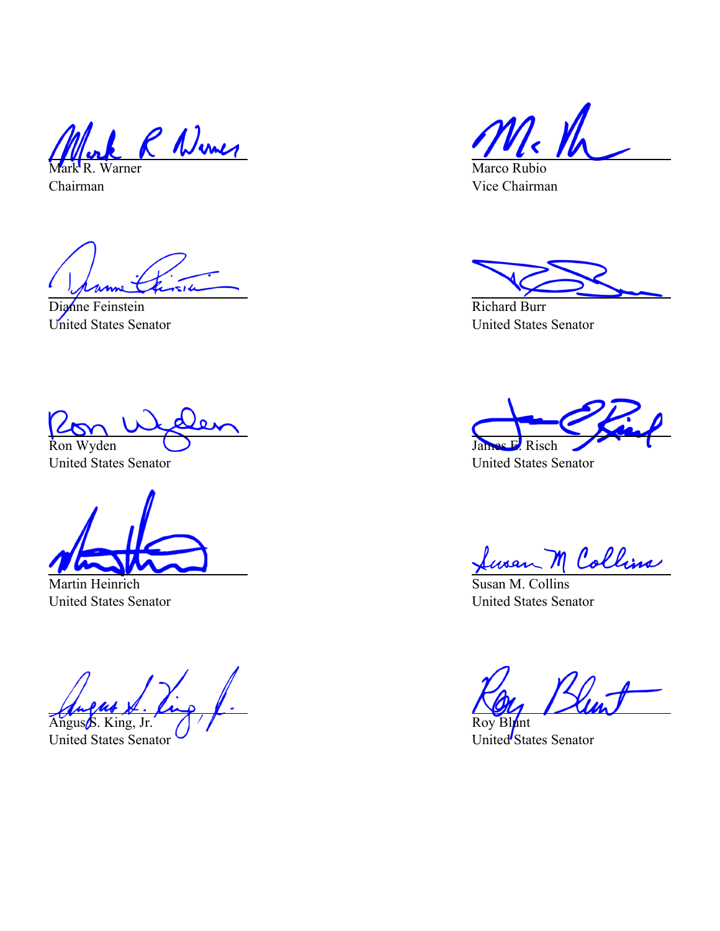R Numer Mark R. Warner

Chairman

Dianne Feinstein United States Senator

Ron Wyden

United States Senator

Martin Heinrich United States Senator

Angus S. King, Jr.

United States Senator

Marco Rubio Vice Chairman

Richard Burr United States Senator

James E. Risch

United States Senator

<u>Lusan M Collins</u>

United States Senator

Roy Blunt United States Senator